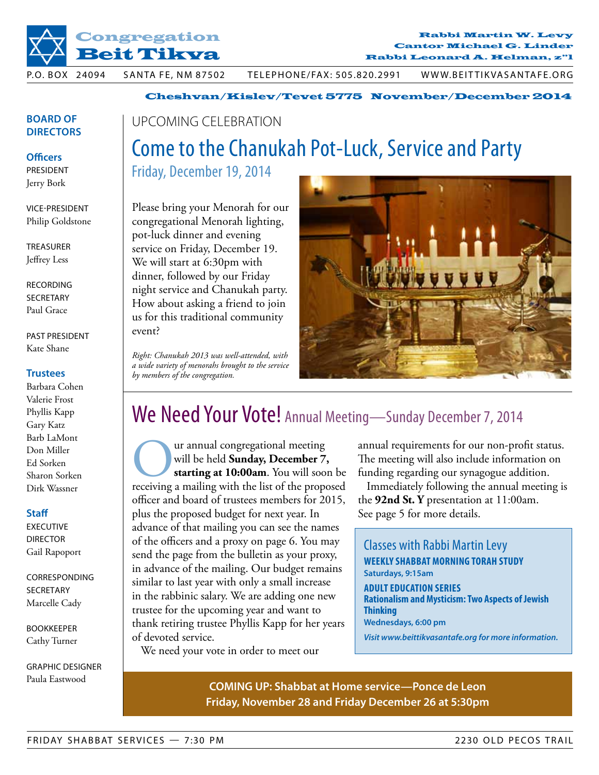

Rabbi Martin W. Levy Rabbi Martin W. Levy Cantor Michael G. Linder Cantor Michael G. Linder Rabbi Leonard A. Helman, z"l Rabbi Leonard A. Helman, z"l

p.O. bOX 24094 SANTA FE, NM 87502 TELEPHONE/FAX: 505.820.2991 WWW.BEITTIKVASANTAFE.ORG

Cheshvan/Kislev/Tevet 5775 November/December 2014

## **Board of Directors**

**Officers** President

Jerry Bork

vice-President Philip Goldstone

**TREASURER** Jeffrey Less

**RECORDING SECRETARY** Paul Grace

past president Kate Shane

## **Trustees**

Barbara Cohen Valerie Frost Phyllis Kapp Gary Katz Barb LaMont Don Miller Ed Sorken Sharon Sorken Dirk Wassner

### **Staff**

**EXECUTIVE DIRECTOR** Gail Rapoport

**CORRESPONDING** SECRETARY Marcelle Cady

Bookkeeper Cathy Turner

graphic designer Paula Eastwood

## upcoming celebration Come to the Chanukah Pot-Luck, Service and Party

Friday, December 19, 2014

Please bring your Menorah for our congregational Menorah lighting, pot-luck dinner and evening service on Friday, December 19. We will start at 6:30pm with dinner, followed by our Friday night service and Chanukah party. How about asking a friend to join us for this traditional community event?

*Right: Chanukah 2013 was well-attended, with a wide variety of menorahs brought to the service by members of the congregation.*



## We Need Your Vote! Annual Meeting-Sunday December 7, 2014

**Our annual congregational meeting**<br>
will be held **Sunday, December 7,**<br>
receiving a mailing with the list of the proposed will be held **Sunday, December 7, starting at 10:00am**. You will soon be officer and board of trustees members for 2015, plus the proposed budget for next year. In advance of that mailing you can see the names of the officers and a proxy on page 6. You may send the page from the bulletin as your proxy, in advance of the mailing. Our budget remains similar to last year with only a small increase in the rabbinic salary. We are adding one new trustee for the upcoming year and want to thank retiring trustee Phyllis Kapp for her years of devoted service.

We need your vote in order to meet our

annual requirements for our non-profit status. The meeting will also include information on funding regarding our synagogue addition.

Immediately following the annual meeting is the **92nd St. Y** presentation at 11:00am. See page 5 for more details.

Classes with Rabbi Martin Levy **Weekly Shabbat morning Torah study Saturdays, 9:15am Adult Education Series Rationalism and Mysticism: Two Aspects of Jewish Thinking Wednesdays, 6:00 pm** *Visit www.beittikvasantafe.org for more information.*

## **COMING UP: Shabbat at Home service—Ponce de Leon Friday, November 28 and Friday December 26 at 5:30pm**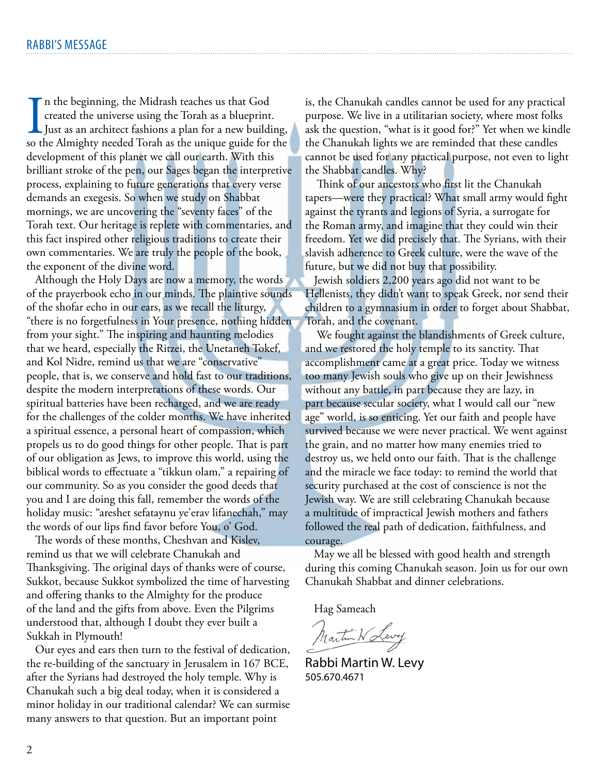I<br>so tl n the beginning, the Midrash teaches us that God created the universe using the Torah as a blueprint. Just as an architect fashions a plan for a new building, so the Almighty needed Torah as the unique guide for the development of this planet we call our earth. With this brilliant stroke of the pen, our Sages began the interpretive process, explaining to future generations that every verse demands an exegesis. So when we study on Shabbat mornings, we are uncovering the "seventy faces" of the Torah text. Our heritage is replete with commentaries, and this fact inspired other religious traditions to create their own commentaries. We are truly the people of the book, the exponent of the divine word.

Although the Holy Days are now a memory, the words of the prayerbook echo in our minds. The plaintive sounds of the shofar echo in our ears, as we recall the liturgy, "there is no forgetfulness in Your presence, nothing hidden from your sight." The inspiring and haunting melodies that we heard, especially the Ritzei, the Unetaneh Tokef, and Kol Nidre, remind us that we are "conservative" people, that is, we conserve and hold fast to our traditions, despite the modern interpretations of these words. Our spiritual batteries have been recharged, and we are ready for the challenges of the colder months. We have inherited a spiritual essence, a personal heart of compassion, which propels us to do good things for other people. That is part of our obligation as Jews, to improve this world, using the biblical words to effectuate a "tikkun olam," a repairing of our community. So as you consider the good deeds that you and I are doing this fall, remember the words of the holiday music: "areshet sefataynu ye'erav lifanechah," may the words of our lips find favor before You, o' God.

The words of these months, Cheshvan and Kislev, remind us that we will celebrate Chanukah and Thanksgiving. The original days of thanks were of course, Sukkot, because Sukkot symbolized the time of harvesting and offering thanks to the Almighty for the produce of the land and the gifts from above. Even the Pilgrims understood that, although I doubt they ever built a Sukkah in Plymouth!

Our eyes and ears then turn to the festival of dedication, the re-building of the sanctuary in Jerusalem in 167 BCE, after the Syrians had destroyed the holy temple. Why is Chanukah such a big deal today, when it is considered a minor holiday in our traditional calendar? We can surmise many answers to that question. But an important point

is, the Chanukah candles cannot be used for any practical purpose. We live in a utilitarian society, where most folks ask the question, "what is it good for?" Yet when we kindle the Chanukah lights we are reminded that these candles cannot be used for any practical purpose, not even to light the Shabbat candles. Why?

 Think of our ancestors who first lit the Chanukah tapers—were they practical? What small army would fight against the tyrants and legions of Syria, a surrogate for the Roman army, and imagine that they could win their freedom. Yet we did precisely that. The Syrians, with their slavish adherence to Greek culture, were the wave of the future, but we did not buy that possibility.

Jewish soldiers 2,200 years ago did not want to be Hellenists, they didn't want to speak Greek, nor send their children to a gymnasium in order to forget about Shabbat, Torah, and the covenant.

 We fought against the blandishments of Greek culture, and we restored the holy temple to its sanctity. That accomplishment came at a great price. Today we witness too many Jewish souls who give up on their Jewishness without any battle, in part because they are lazy, in part because secular society, what I would call our "new age" world, is so enticing. Yet our faith and people have survived because we were never practical. We went against the grain, and no matter how many enemies tried to destroy us, we held onto our faith. That is the challenge and the miracle we face today: to remind the world that security purchased at the cost of conscience is not the Jewish way. We are still celebrating Chanukah because a multitude of impractical Jewish mothers and fathers followed the real path of dedication, faithfulness, and courage.

May we all be blessed with good health and strength during this coming Chanukah season. Join us for our own Chanukah Shabbat and dinner celebrations.

Hag Sameach

Martin W Levy

Rabbi Martin W. Levy 505.670.4671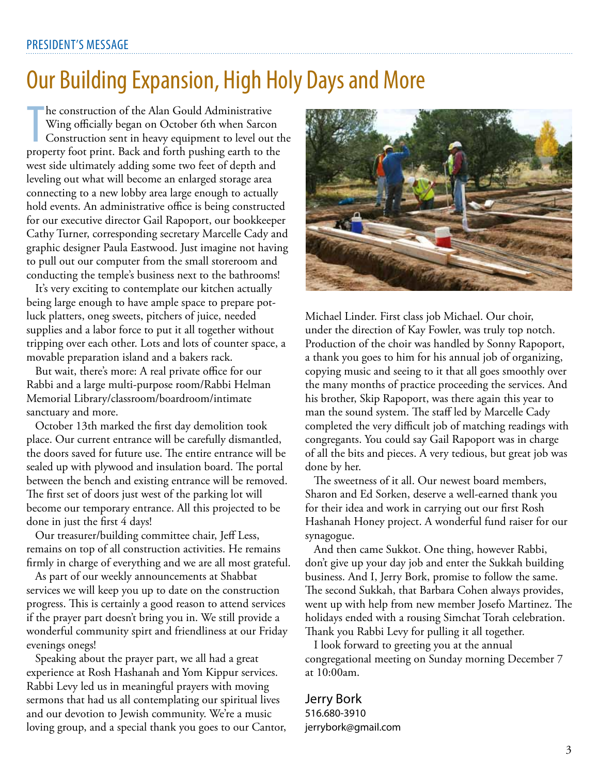## Our Building Expansion, High Holy Days and More

Internation of the Alan Gould Administrative<br>
Wing officially began on October 6th when Sarcon<br>
Construction sent in heavy equipment to level out the<br>
property foot print. Back and forth pushing earth to the he construction of the Alan Gould Administrative Wing officially began on October 6th when Sarcon Construction sent in heavy equipment to level out the west side ultimately adding some two feet of depth and leveling out what will become an enlarged storage area connecting to a new lobby area large enough to actually hold events. An administrative office is being constructed for our executive director Gail Rapoport, our bookkeeper Cathy Turner, corresponding secretary Marcelle Cady and graphic designer Paula Eastwood. Just imagine not having to pull out our computer from the small storeroom and conducting the temple's business next to the bathrooms!

It's very exciting to contemplate our kitchen actually being large enough to have ample space to prepare potluck platters, oneg sweets, pitchers of juice, needed supplies and a labor force to put it all together without tripping over each other. Lots and lots of counter space, a movable preparation island and a bakers rack.

But wait, there's more: A real private office for our Rabbi and a large multi-purpose room/Rabbi Helman Memorial Library/classroom/boardroom/intimate sanctuary and more.

October 13th marked the first day demolition took place. Our current entrance will be carefully dismantled, the doors saved for future use. The entire entrance will be sealed up with plywood and insulation board. The portal between the bench and existing entrance will be removed. The first set of doors just west of the parking lot will become our temporary entrance. All this projected to be done in just the first 4 days!

Our treasurer/building committee chair, Jeff Less, remains on top of all construction activities. He remains firmly in charge of everything and we are all most grateful.

As part of our weekly announcements at Shabbat services we will keep you up to date on the construction progress. This is certainly a good reason to attend services if the prayer part doesn't bring you in. We still provide a wonderful community spirt and friendliness at our Friday evenings onegs!

Speaking about the prayer part, we all had a great experience at Rosh Hashanah and Yom Kippur services. Rabbi Levy led us in meaningful prayers with moving sermons that had us all contemplating our spiritual lives and our devotion to Jewish community. We're a music loving group, and a special thank you goes to our Cantor,



Michael Linder. First class job Michael. Our choir, under the direction of Kay Fowler, was truly top notch. Production of the choir was handled by Sonny Rapoport, a thank you goes to him for his annual job of organizing, copying music and seeing to it that all goes smoothly over the many months of practice proceeding the services. And his brother, Skip Rapoport, was there again this year to man the sound system. The staff led by Marcelle Cady completed the very difficult job of matching readings with congregants. You could say Gail Rapoport was in charge of all the bits and pieces. A very tedious, but great job was done by her.

The sweetness of it all. Our newest board members, Sharon and Ed Sorken, deserve a well-earned thank you for their idea and work in carrying out our first Rosh Hashanah Honey project. A wonderful fund raiser for our synagogue.

And then came Sukkot. One thing, however Rabbi, don't give up your day job and enter the Sukkah building business. And I, Jerry Bork, promise to follow the same. The second Sukkah, that Barbara Cohen always provides, went up with help from new member Josefo Martinez. The holidays ended with a rousing Simchat Torah celebration. Thank you Rabbi Levy for pulling it all together.

I look forward to greeting you at the annual congregational meeting on Sunday morning December 7 at 10:00am.

## Jerry Bork 516.680-3910 jerrybork@gmail.com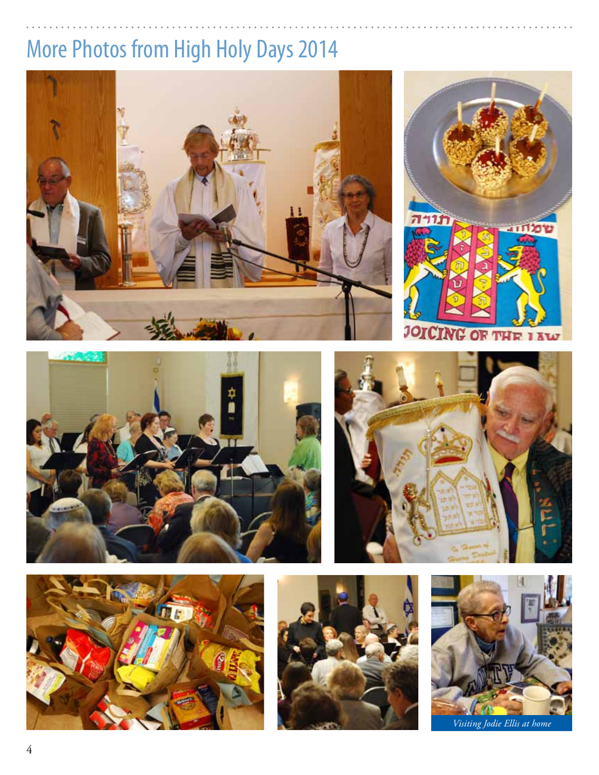# More Photos from High Holy Days 2014







70

**THE INW** 

**JOICH** 







*Visiting Jodie Ellis at home*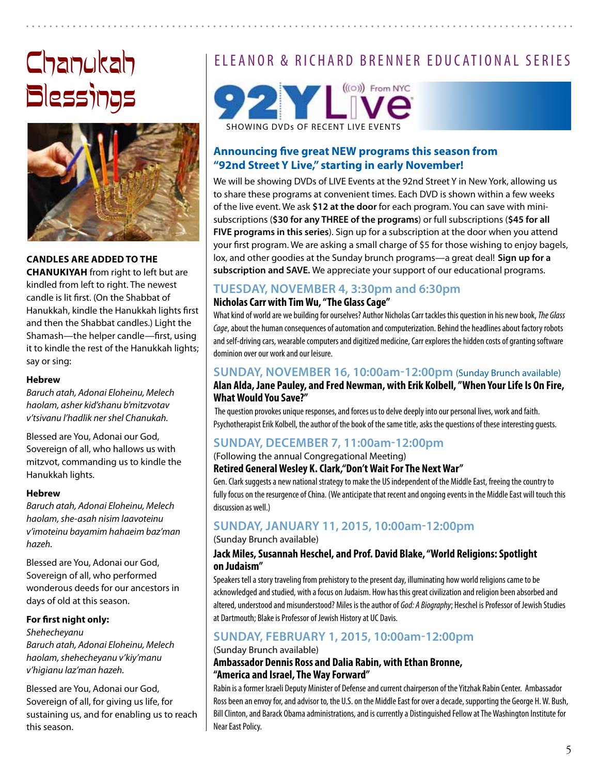# Chanukah Blessings



## **Candles are added to the**

**Chanukiyah** from right to left but are kindled from left to right. The newest candle is lit first. (On the Shabbat of Hanukkah, kindle the Hanukkah lights first and then the Shabbat candles.) Light the Shamash—the helper candle—first, using it to kindle the rest of the Hanukkah lights; say or sing:

### **Hebrew**

*Baruch atah, Adonai Eloheinu, Melech haolam, asher kid'shanu b'mitzvotav v'tsivanu l'hadlik ner shel Chanukah.*

Blessed are You, Adonai our God, Sovereign of all, who hallows us with mitzvot, commanding us to kindle the Hanukkah lights.

### **Hebrew**

*Baruch atah, Adonai Eloheinu, Melech haolam, she-asah nisim laavoteinu v'imoteinu bayamim hahaeim baz'man hazeh.*

Blessed are You, Adonai our God, Sovereign of all, who performed wonderous deeds for our ancestors in days of old at this season.

### **For first night only:**

*Shehecheyanu Baruch atah, Adonai Eloheinu, Melech haolam, shehecheyanu v'kiy'manu v'higianu laz'man hazeh.*

Blessed are You, Adonai our God, Sovereign of all, for giving us life, for sustaining us, and for enabling us to reach this season.

## ELEANOR & RICHARD BRENNER EDUCATIONAL SERIES



## **Announcing five great NEW programs this season from "92nd Street Y Live," starting in early November!**

We will be showing DVDs of LIVE Events at the 92nd Street Y in New York, allowing us to share these programs at convenient times. Each DVD is shown within a few weeks of the live event. We ask **\$12 at the door** for each program. You can save with minisubscriptions (**\$30 for any THREE of the programs**) or full subscriptions (**\$45 for all FIVE programs in this series**). Sign up for a subscription at the door when you attend your first program. We are asking a small charge of \$5 for those wishing to enjoy bagels, lox, and other goodies at the Sunday brunch programs—a great deal! **Sign up for a subscription and SAVE.** We appreciate your support of our educational programs.

## **Tuesday, November 4, 3:30pm and 6:30pm**

## **Nicholas Carr with Tim Wu, "The Glass Cage"**

What kind of world are we building for ourselves? Author Nicholas Carr tackles this question in his new book, *The Glass Cage*, about the human consequences of automation and computerization. Behind the headlines about factory robots and self-driving cars, wearable computers and digitized medicine, Carr explores the hidden costs of granting software dominion over our work and our leisure.

## **Sunday, November 16, 10:00am-12:00pm** (Sunday Brunch available) **Alan Alda, Jane Pauley, and Fred Newman, with Erik Kolbell, "When Your Life Is On Fire, What Would You Save?"**

 The question provokes unique responses, and forces us to delve deeply into our personal lives, work and faith. Psychotherapist Erik Kolbell, the author of the book of the same title, asks the questions of these interesting guests.

## **Sunday, December 7, 11:00am-12:00pm**

(Following the annual Congregational Meeting)

### **Retired General Wesley K. Clark,"Don't Wait For The Next War"**

Gen. Clark suggests a new national strategy to make the US independent of the Middle East, freeing the country to fully focus on the resurgence of China. (We anticipate that recent and ongoing events in the Middle East will touch this discussion as well.)

## **Sunday, January 11, 2015, 10:00am-12:00pm**

(Sunday Brunch available)

### **Jack Miles, Susannah Heschel, and Prof. David Blake, "World Religions: Spotlight on Judaism"**

Speakers tell a story traveling from prehistory to the present day, illuminating how world religions came to be acknowledged and studied, with a focus on Judaism. How has this great civilization and religion been absorbed and altered, understood and misunderstood? Miles is the author of *God: A Biography*; Heschel is Professor of Jewish Studies at Dartmouth; Blake is Professor of Jewish History at UC Davis.

## **Sunday, February 1, 2015, 10:00am-12:00pm**

(Sunday Brunch available)

### **Ambassador Dennis Ross and Dalia Rabin, with Ethan Bronne, "America and Israel, The Way Forward"**

Rabin is a former Israeli Deputy Minister of Defense and current chairperson of the Yitzhak Rabin Center. Ambassador Ross been an envoy for, and advisor to, the U.S. on the Middle East for over a decade, supporting the George H. W. Bush, Bill Clinton, and Barack Obama administrations, and is currently a Distinguished Fellow at The Washington Institute for Near East Policy.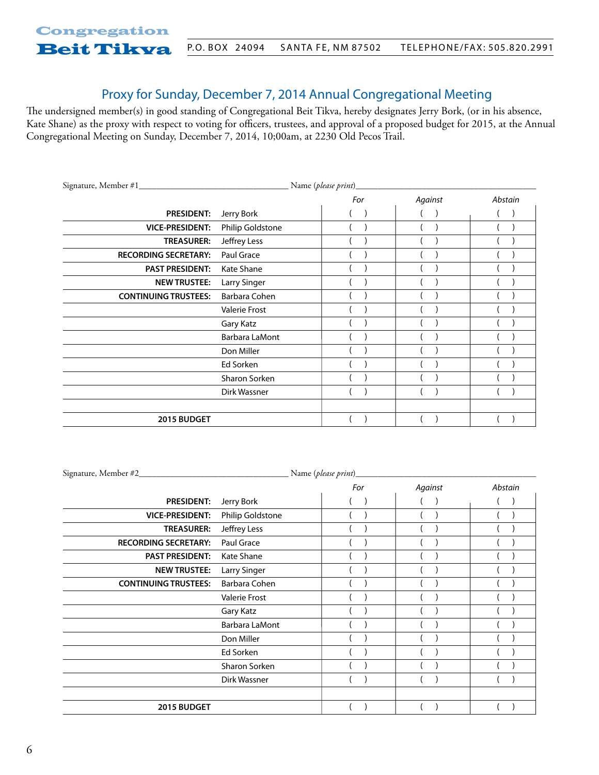## Proxy for Sunday, December 7, 2014 Annual Congregational Meeting

The undersigned member(s) in good standing of Congregational Beit Tikva, hereby designates Jerry Bork, (or in his absence, Kate Shane) as the proxy with respect to voting for officers, trustees, and approval of a proposed budget for 2015, at the Annual Congregational Meeting on Sunday, December 7, 2014, 10;00am, at 2230 Old Pecos Trail.

|                             |                     | Name (please print)_ |               |         |
|-----------------------------|---------------------|----------------------|---------------|---------|
|                             |                     | For                  | Against       | Abstain |
| <b>PRESIDENT:</b>           | Jerry Bork          |                      | $\rightarrow$ |         |
| <b>VICE-PRESIDENT:</b>      | Philip Goldstone    |                      |               |         |
| <b>TREASURER:</b>           | Jeffrey Less        |                      |               |         |
| <b>RECORDING SECRETARY:</b> | Paul Grace          |                      |               |         |
| <b>PAST PRESIDENT:</b>      | Kate Shane          |                      |               |         |
| <b>NEW TRUSTEE:</b>         | <b>Larry Singer</b> |                      |               |         |
| <b>CONTINUING TRUSTEES:</b> | Barbara Cohen       |                      |               |         |
|                             | Valerie Frost       |                      |               |         |
|                             | Gary Katz           |                      |               |         |
|                             | Barbara LaMont      |                      |               |         |
|                             | Don Miller          |                      |               |         |
|                             | Ed Sorken           |                      |               |         |
|                             | Sharon Sorken       |                      |               |         |
|                             | Dirk Wassner        |                      |               |         |
|                             |                     |                      |               |         |
| 2015 BUDGET                 |                     |                      |               |         |

|                             |                      | Name (please print) |         |         |
|-----------------------------|----------------------|---------------------|---------|---------|
|                             |                      | For                 | Against | Abstain |
| <b>PRESIDENT:</b>           | Jerry Bork           |                     |         |         |
| <b>VICE-PRESIDENT:</b>      | Philip Goldstone     |                     |         |         |
| <b>TREASURER:</b>           | Jeffrey Less         |                     |         |         |
| <b>RECORDING SECRETARY:</b> | Paul Grace           |                     |         |         |
| <b>PAST PRESIDENT:</b>      | Kate Shane           |                     |         |         |
| <b>NEW TRUSTEE:</b>         | <b>Larry Singer</b>  |                     |         |         |
| <b>CONTINUING TRUSTEES:</b> | Barbara Cohen        |                     |         |         |
|                             | <b>Valerie Frost</b> |                     |         |         |
|                             | Gary Katz            |                     |         |         |
|                             | Barbara LaMont       |                     |         |         |
|                             | Don Miller           |                     |         |         |
|                             | Ed Sorken            |                     |         |         |
|                             | Sharon Sorken        |                     |         |         |
|                             | Dirk Wassner         |                     |         |         |
|                             |                      |                     |         |         |
| 2015 BUDGET                 |                      |                     |         |         |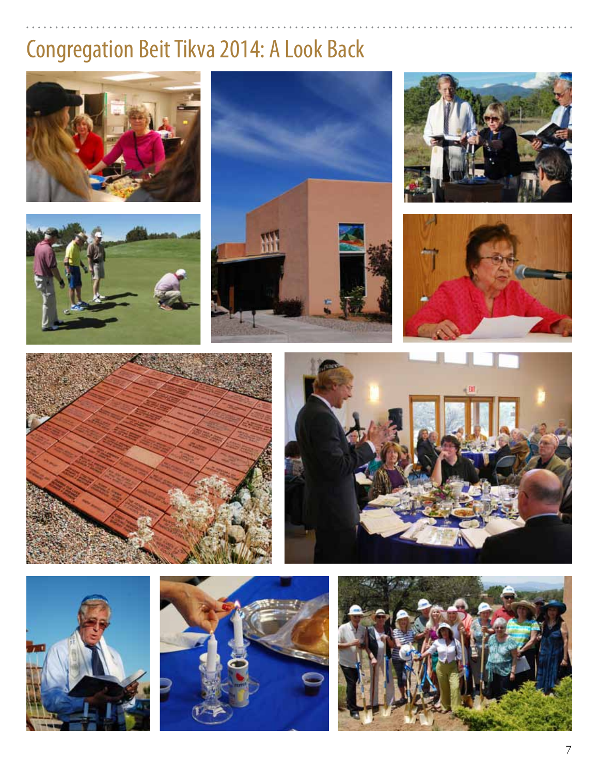# Congregation Beit Tikva 2014: A Look Back



















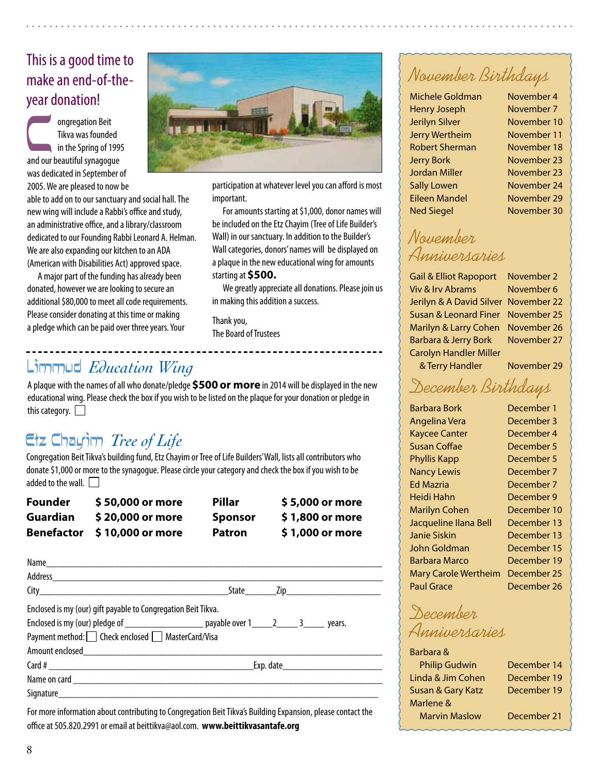## This is a good time to make an end-of-theyear donation!

ongregation Beit<br>
Tikva was founded<br>
in the Spring of 199<br>
and our beautiful synagogue Tikva was founded in the Spring of 1995 was dedicated in September of 2005. We are pleased to now be

able to add on to our sanctuary and social hall. The new wing will include a Rabbi's office and study, an administrative office, and a library/classroom dedicated to our Founding Rabbi Leonard A. Helman. We are also expanding our kitchen to an ADA (American with Disabilities Act) approved space.

A major part of the funding has already been donated, however we are looking to secure an additional \$80,000 to meet all code requirements. Please consider donating at this time or making a pledge which can be paid over three years. Your



participation at whatever level you can afford is most important.

For amounts starting at \$1,000, donor names will be included on the Etz Chayim (Tree of Life Builder's Wall) in our sanctuary. In addition to the Builder's Wall categories, donors' names will be displayed on a plaque in the new educational wing for amounts starting at **\$500.**

We greatly appreciate all donations. Please join us in making this addition a success.

Thank you, The Board of Trustees

## Limmud *Education Wing*

A plaque with the names of all who donate/pledge **\$500 or more** in 2014 will be displayed in the new educational wing. Please check the box if you wish to be listed on the plaque for your donation or pledge in this category.  $\Box$ 

## Etz Chayim *Tree of Life*

Congregation Beit Tikva's building fund, Etz Chayim or Tree of Life Builders' Wall, lists all contributors who donate \$1,000 or more to the synagogue. Please circle your category and check the box if you wish to be added to the wall.  $\Box$ 

| <b>Founder</b>    | \$50,000 or more | <b>Pillar</b>  | \$5,000 or more |
|-------------------|------------------|----------------|-----------------|
| Guardian          | \$20,000 or more | <b>Sponsor</b> | \$1,800 or more |
| <b>Benefactor</b> | \$10,000 or more | <b>Patron</b>  | \$1,000 or more |

| Enclosed is my (our) gift payable to Congregation Beit Tikva. |                                                                                                    |
|---------------------------------------------------------------|----------------------------------------------------------------------------------------------------|
|                                                               | Enclosed is my (our) pledge of _______________________ payable over 1______2______ 3_______ years. |
| Payment method: Check enclosed MasterCard/Visa                |                                                                                                    |
|                                                               |                                                                                                    |
|                                                               |                                                                                                    |
|                                                               |                                                                                                    |
|                                                               |                                                                                                    |
|                                                               |                                                                                                    |

For more information about contributing to Congregation Beit Tikva's Building Expansion, please contact the office at 505.820.2991 or email at beittikva@aol.com. **www.beittikvasantafe.org**

## November Birthdays

Michele Goldman November 4 Henry Joseph November 7 Jerilyn Silver November 10 Jerry Wertheim November 11 Robert Sherman November 18 Jerry Bork November 23 Jordan Miller November 23 Sally Lowen November 24 Eileen Mandel November 29 Ned Siegel November 30

November Anniversaries

Gail & Elliot Rapoport November 2 Viv & Irv Abrams November 6 Jerilyn & A David Silver November 22 Susan & Leonard Finer November 25 Marilyn & Larry Cohen November 26 Barbara & Jerry Bork November 27 Carolyn Handler Miller

& Terry Handler November 29

## December Birthdays

| Barbara Bork                | December 1  |
|-----------------------------|-------------|
| Angelina Vera               | December 3  |
| <b>Kaycee Canter</b>        | December 4  |
| Susan Coffae                | December 5  |
| <b>Phyllis Kapp</b>         | December 5  |
| <b>Nancy Lewis</b>          | December 7  |
| Ed Mazria                   | December 7  |
| Heidi Hahn                  | December 9  |
| Marilyn Cohen               | December 10 |
| Jacqueline Ilana Bell       | December 13 |
| Janie Siskin                | December 13 |
| John Goldman                | December 15 |
| Barbara Marco               | December 19 |
| <b>Mary Carole Wertheim</b> | December 25 |
| Paul Grace                  | December 26 |

December Anniversaries

#### Barbara &

| <b>Philip Gudwin</b> | December 14 |
|----------------------|-------------|
| Linda & Jim Cohen    | December 19 |
| Susan & Gary Katz    | December 19 |
| Marlene &            |             |
| <b>Marvin Maslow</b> | December 21 |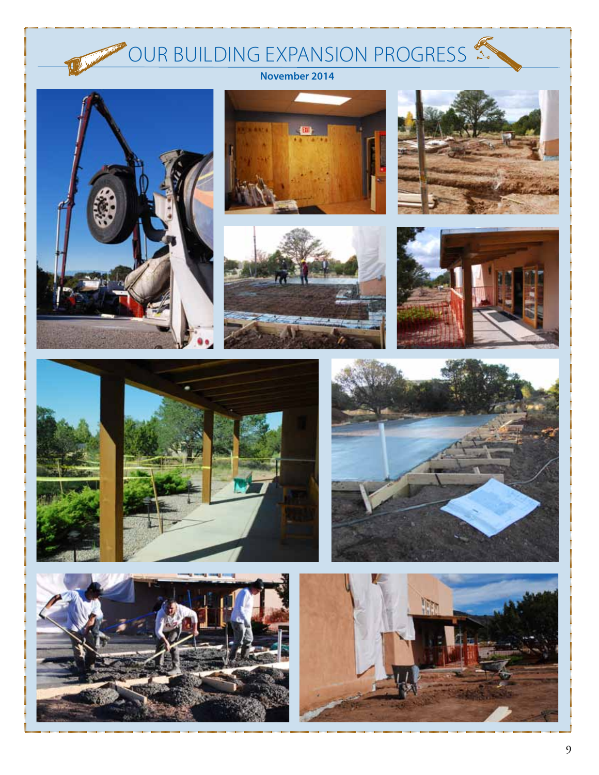## Our Building Expansion Progress



**November 2014**















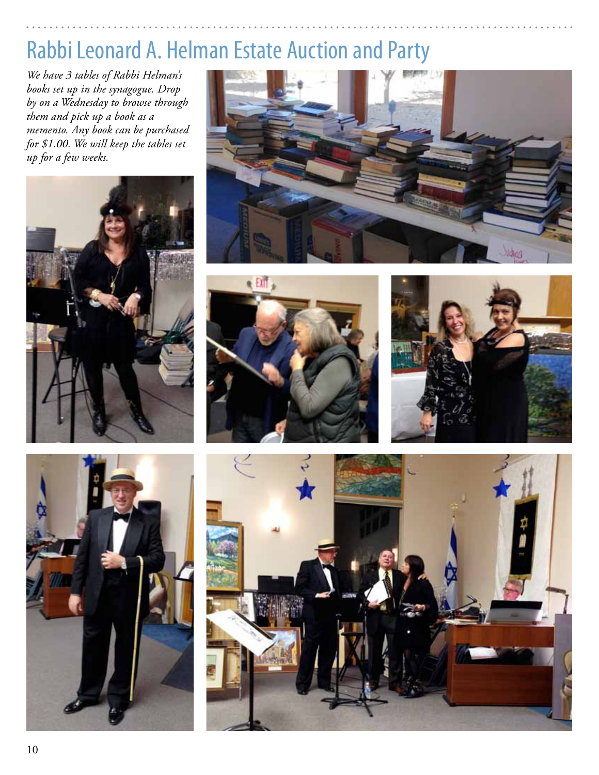## Rabbi Leonard A. Helman Estate Auction and Party

*We have 3 tables of Rabbi Helman's books set up in the synagogue. Drop by on a Wednesday to browse through them and pick up a book as a memento. Any book can be purchased for \$1.00. We will keep the tables set up for a few weeks.*











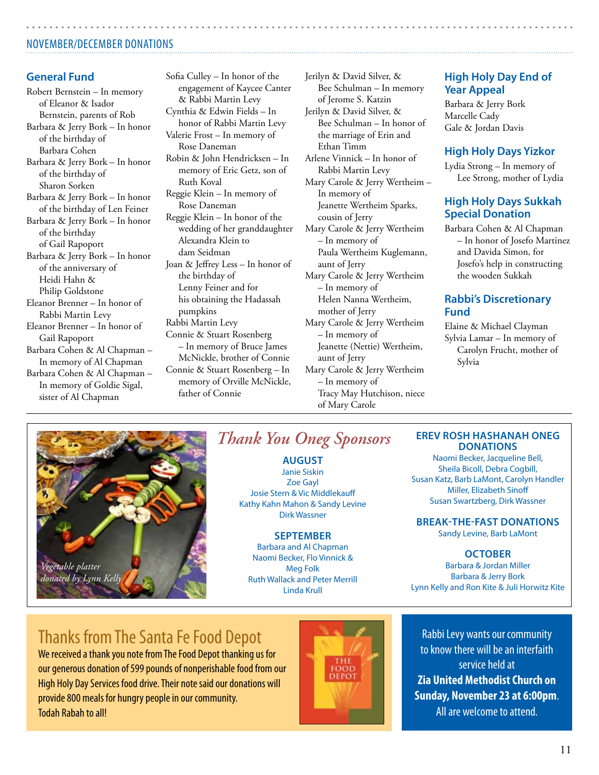## November/december donations

## **General Fund**

Robert Bernstein – In memory of Eleanor & Isador Bernstein, parents of Rob Barbara & Jerry Bork – In honor of the birthday of Barbara Cohen Barbara & Jerry Bork – In honor of the birthday of Sharon Sorken Barbara & Jerry Bork – In honor of the birthday of Len Feiner Barbara & Jerry Bork – In honor of the birthday of Gail Rapoport Barbara & Jerry Bork – In honor of the anniversary of Heidi Hahn & Philip Goldstone Eleanor Brenner – In honor of Rabbi Martin Levy Eleanor Brenner – In honor of Gail Rapoport Barbara Cohen & Al Chapman – In memory of Al Chapman Barbara Cohen & Al Chapman – In memory of Goldie Sigal, sister of Al Chapman

Sofia Culley – In honor of the engagement of Kaycee Canter & Rabbi Martin Levy Cynthia & Edwin Fields – In honor of Rabbi Martin Levy Valerie Frost – In memory of Rose Daneman Robin & John Hendricksen – In memory of Eric Getz, son of Ruth Koval Reggie Klein – In memory of Rose Daneman Reggie Klein – In honor of the wedding of her granddaughter Alexandra Klein to dam Seidman Joan & Jeffrey Less – In honor of the birthday of Lenny Feiner and for his obtaining the Hadassah pumpkins Rabbi Martin Levy Connie & Stuart Rosenberg – In memory of Bruce James McNickle, brother of Connie Connie & Stuart Rosenberg – In memory of Orville McNickle, father of Connie

Jerilyn & David Silver, & Bee Schulman – In memory of Jerome S. Katzin Jerilyn & David Silver, & Bee Schulman – In honor of the marriage of Erin and Ethan Timm Arlene Vinnick – In honor of Rabbi Martin Levy Mary Carole & Jerry Wertheim – In memory of Jeanette Wertheim Sparks, cousin of Jerry Mary Carole & Jerry Wertheim – In memory of Paula Wertheim Kuglemann, aunt of Jerry Mary Carole & Jerry Wertheim – In memory of Helen Nanna Wertheim, mother of Jerry Mary Carole & Jerry Wertheim – In memory of Jeanette (Nettie) Wertheim, aunt of Jerry Mary Carole & Jerry Wertheim – In memory of Tracy May Hutchison, niece of Mary Carole

## **High Holy Day End of Year Appeal**

Barbara & Jerry Bork Marcelle Cady Gale & Jordan Davis

### **High Holy Days Yizkor**

Lydia Strong – In memory of Lee Strong, mother of Lydia

### **High Holy Days Sukkah Special Donation**

Barbara Cohen & Al Chapman – In honor of Josefo Martinez and Davida Simon, for Josefo's help in constructing the wooden Sukkah

### **Rabbi's Discretionary Fund**

Elaine & Michael Clayman Sylvia Lamar – In memory of Carolyn Frucht, mother of Sylvia



## *Thank You Oneg Sponsors*

**August** Janie Siskin Zoe Gayl Josie Stern & Vic Middlekauff Kathy Kahn Mahon & Sandy Levine Dirk Wassner

### **September**

Barbara and Al Chapman Naomi Becker, Flo Vinnick & Meg Folk Ruth Wallack and Peter Merrill Linda Krull

#### **Erev Rosh Hashanah ONEG Donations**

Naomi Becker, Jacqueline Bell, Sheila Bicoll, Debra Cogbill, Susan Katz, Barb LaMont, Carolyn Handler Miller, Elizabeth Sinoff Susan Swartzberg, Dirk Wassner

**Break-the-fast Donations**

Sandy Levine, Barb LaMont

### **october**

Barbara & Jordan Miller Barbara & Jerry Bork Lynn Kelly and Ron Kite & Juli Horwitz Kite

## Thanks from The Santa Fe Food Depot

We received a thank you note from The Food Depot thanking us for our generous donation of 599 pounds of nonperishable food from our High Holy Day Services food drive. Their note said our donations will provide 800 meals for hungry people in our community. Todah Rabah to all!



Rabbi Levy wants our community to know there will be an interfaith service held at **Zia United Methodist Church on Sunday, November 23 at 6:00pm**.

All are welcome to attend.